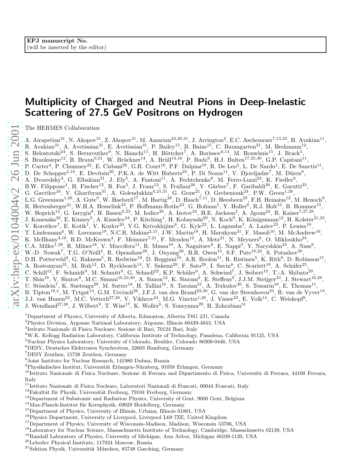# Multiplicity of Charged and Neutral Pions in Deep-Inelasti c Scattering of 27.5 GeV Positrons on Hydrogen

The HERMES Collaboration

A. Airapetian<sup>31</sup>, N. Akopov<sup>31</sup>, Z. Akopov<sup>31</sup>, M. Amarian<sup>23,26,31</sup>, J. Arrington<sup>2</sup>, E.C. Aschenauer<sup>7,13,23</sup>, H. Avakian<sup>11</sup>, R. Avakian<sup>31</sup>, A. Avetissian<sup>31</sup>, E. Avetissian<sup>31</sup>, P. Bailey<sup>15</sup>, B. Bains<sup>15</sup>, C. Baumgarten<sup>21</sup>, M. Beckmann<sup>12</sup>, S. Belostotski<sup>24</sup>, S. Bernreuther<sup>9</sup>, N. Bianchi<sup>11</sup>, H. Böttcher<sup>7</sup>, A. Borissov<sup>6,14</sup>, M. Bouwhuis<sup>15</sup>, J. Brack<sup>5</sup>, S. Brauksiepe<sup>12</sup>, B. Braun<sup>9,21</sup>, W. Brückner<sup>14</sup>, A. Brüll<sup>14,18</sup>, P. Budz<sup>9</sup>, H.J. Bulten<sup>17,23,30</sup>, G.P. Capitani<sup>11</sup>, P. Carter<sup>4</sup>, P. Chumney<sup>22</sup>, E. Cisbani<sup>26</sup>, G.R. Court<sup>16</sup>, P.F. Dalpiaz<sup>10</sup>, R. De Leo<sup>3</sup>, L. De Nardo<sup>1</sup>, E. De Sanctis<sup>11</sup>, D. De Schepper<sup>2,18</sup>, E. Devitsin<sup>20</sup>, P.K.A. de Witt Huberts<sup>23</sup>, P. Di Nezza<sup>11</sup>, V. Djordjadze<sup>7</sup>, M. Düren<sup>9</sup>, A. Dvoredsky<sup>4</sup>, G. Elbakian<sup>31</sup>, J. Ely<sup>5</sup>, A. Fantoni<sup>11</sup>, A. Fechtchenko<sup>8</sup>, M. Ferro-Luzzi<sup>23</sup>, K. Fiedler<sup>9</sup>, B.W. Filippone<sup>4</sup>, H. Fischer<sup>12</sup>, B. Fox<sup>5</sup>, J. Franz<sup>12</sup>, S. Frullani<sup>26</sup>, Y. Gärber<sup>7</sup>, F. Garibaldi<sup>26</sup>, E. Garutti<sup>23</sup>, G. Gavrilov<sup>24</sup>, V. Gharibyan<sup>31</sup>, A. Golendukhin<sup>6,21,31</sup>, G. Graw<sup>21</sup>, O. Grebeniouk<sup>24</sup>, P.W. Green<sup>1,28</sup>, L.G. Greeniaus<sup>1,28</sup>, A. Gute<sup>9</sup>, W. Haeberli<sup>17</sup>, M. Hartig<sup>28</sup>, D. Hasch<sup>7,11</sup>, D. Heesbeen<sup>23</sup>, F.H. Heinsius<sup>12</sup>, M. Henoch<sup>9</sup>, R. Hertenberger<sup>21</sup>, W.H.A. Hesselink<sup>23</sup>, P. Hoffmann-Rothe<sup>23</sup>, G. Hofman<sup>5</sup>, Y. Holler<sup>6</sup>, R.J. Holt<sup>15</sup>, B. Hommez<sup>13</sup>, W. Hoprich<sup>14</sup>, G. Iarygin<sup>8</sup>, H. Ihssen<sup>6,23</sup>, M. Iodice<sup>26</sup>, A. Izotov<sup>24</sup>, H.E. Jackson<sup>2</sup>, A. Jgoun<sup>24</sup>, R. Kaiser<sup>7,27,28</sup>, J. Kanesaka<sup>29</sup>, E. Kinney<sup>5</sup>, A. Kisselev<sup>24</sup>, P. Kitching<sup>1</sup>, H. Kobayashi<sup>29</sup>, N. Koch<sup>9</sup>, K. Königsmann<sup>12</sup>, H. Kolster<sup>21,23</sup>, V. Korotkov<sup>7</sup>, E. Kotik<sup>1</sup>, V. Kozlov<sup>20</sup>, V.G. Krivokhijine<sup>8</sup>, G. Kyle<sup>22</sup>, L. Lagamba<sup>3</sup>, A. Laziev<sup>23</sup>, P. Lenisa<sup>10</sup>, T. Lindemann<sup>6</sup>, W. Lorenzon<sup>19</sup>, N.C.R. Makins<sup>2,15</sup>, J.W. Martin<sup>18</sup>, H. Marukyan<sup>31</sup>, F. Masoli<sup>10</sup>, M. McAndrew<sup>16</sup>, K. McIlhany<sup>4,18</sup>, R.D. McKeown<sup>4</sup>, F. Meissner<sup>7,21</sup>, F. Menden<sup>12</sup>, A. Metz<sup>21</sup>, N. Meyners<sup>6</sup>, O. Mikloukho<sup>24</sup>, C.A. Miller<sup>1,28</sup>, R. Milner<sup>18</sup>, V. Muccifora<sup>11</sup>, R. Mussa<sup>10</sup>, A. Nagaitsev<sup>8</sup>, E. Nappi<sup>3</sup>, Y. Naryshkin<sup>24</sup>, A. Nass<sup>9</sup>, W.-D. Nowak<sup>7</sup>, T.G. O'Neill<sup>2</sup>, R. Openshaw<sup>28</sup>, J. Ouyang<sup>28</sup>, B.R. Owen<sup>15</sup>, S.F. Pate<sup>18,22</sup>, S. Potashov<sup>20</sup>, D.H. Potterveld<sup>2</sup>, G. Rakness<sup>5</sup>, R. Redwine<sup>18</sup>, D. Reggiani<sup>10</sup>, A.R. Reolon<sup>11</sup>, R. Ristinen<sup>5</sup>, K. Rith<sup>9</sup>, D. Robinson<sup>15</sup>, A. Rostomyan<sup>31</sup>, M. Ruh<sup>12</sup>, D. Ryckbosch<sup>13</sup>, Y. Sakemi<sup>29</sup>, F. Sato<sup>29</sup>, I. Savin<sup>8</sup>, C. Scarlett<sup>19</sup>, A. Schäfer<sup>25</sup>, C. Schill<sup>12</sup>, F. Schmidt<sup>9</sup>, M. Schmitt<sup>9</sup>, G. Schnell<sup>22</sup>, K.P. Schüler<sup>6</sup>, A. Schwind<sup>7</sup>, J. Seibert<sup>12</sup>, T.-A. Shibata<sup>29</sup>, T. Shin<sup>18</sup>, V. Shutov<sup>8</sup>, M.C. Simani<sup>10,23,30</sup>, A. Simon<sup>12</sup>, K. Sinram<sup>6</sup>, E. Steffens<sup>9</sup>, J.J.M. Steijger<sup>23</sup>, J. Stewart<sup>16,28</sup>, U. Stösslein<sup>7</sup>, K. Suetsugu<sup>29</sup>, M. Sutter<sup>18</sup>, H. Tallini<sup>16</sup>, S. Taroian<sup>31</sup>, A. Terkulov<sup>20</sup>, S. Tessarin<sup>10</sup>, E. Thomas<sup>11</sup>, B. Tipton<sup>18,4</sup>, M. Tytgat<sup>13</sup>, G.M. Urciuoli<sup>26</sup>, J.F.J. van den Brand<sup>23,30</sup>, G. van der Steenhoven<sup>23</sup>, R. van de Vyver<sup>13</sup>, J.J. van Hunen<sup>23</sup>, M.C. Vetterli<sup>27,28</sup>, V. Vikhrov<sup>24</sup>, M.G. Vincter<sup>1,28</sup>, J. Visser<sup>23</sup>, E. Volk<sup>14</sup>, C. Weiskopf<sup>9</sup>, J. Wendland<sup>27,28</sup>, J. Wilbert<sup>9</sup>, T. Wise<sup>17</sup>, K. Woller<sup>6</sup>, S. Yoneyama<sup>29</sup>, H. Zohrabian<sup>31</sup>

- <sup>1</sup>Department of Physics, University of Alberta, Edmonton, Alberta T6G 2J1, Canada <sup>2</sup>Physics Division, Argonne National Laboratory, Argonne, Illinois 60439-4843, USA <sup>3</sup>
- 
- <sup>3</sup>Istituto Nazionale di Fisica Nucleare, Sezione di Bari, 70124 Bari, Italy
- $^4$  W.K. Kellogg Radiation Laboratory, California Institute of Technology, Pasadena, California 91125, USA $^5$ Nuclear Physics Laboratory, University of Colorado, Boulder, Colorado 80309-0446, USA $^6$ DESY, Deutsches Elekt
- 
- 
- 
- Joint Institute for Nuclear Research, 141980 Dubna, Russia
- $9$ Physikalisches Institut, Universität Erlangen-Nürnberg, 91058 Erlangen, Germany

<sup>10</sup>Istituto Nazionale di Fisica Nucleare, Sezione di Ferrara and Dipartimento di Fisica, Università di Ferrara, 44100 Ferrara, Italy

- <sup>11</sup>Istituto Nazionale di Fisica Nucleare, Laboratori Nazionali di Frascati, 00044 Frascati, Italy
- $12$ Fakultät für Physik, Universität Freiburg, 79104 Freiburg, Germany
- <sup>13</sup>Department of Subatomic and Radiation Physics, University of Gent, 9000 Gent, Belgium
- $14$ Max-Planck-Institut für Kernphysik, 69029 Heidelberg, Germany
- <sup>15</sup>Department of Physics, University of Illinois, Urbana, Illinois 61801, USA
- <sup>16</sup>Physics Department, University of Liverpool, Liverpool L69 7ZE, United Kingdom
- <sup>17</sup>Department of Physics, University of Wisconsin-Madison, Madison, Wisconsin 53706, USA
- <sup>18</sup>Laboratory for Nuclear Science, Massachusetts Institute of Technology, Cambridge, Massachusetts 02139, USA
- <sup>19</sup>Randall Laboratory of Physics, University of Michigan, Ann Arbor, Michigan 48109-1120, USA
- <sup>20</sup>Lebedev Physical Institute, 117924 Moscow, Russia
- $21$ Sektion Physik, Universität München, 85748 Garching, Germany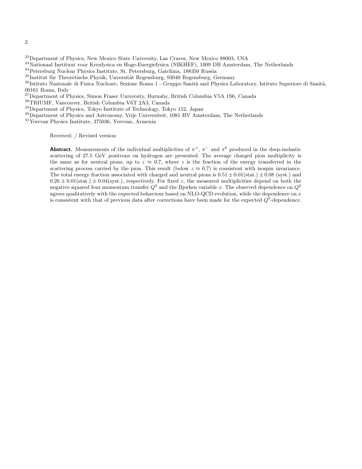- <sup>22</sup>Department of Physics, New Mexico State University, Las Cruces, New Mexico 88003, USA
- <sup>23</sup>Nationaal Instituut voor Kernfysica en Hoge-Energiefysica (NIKHEF), 1009 DB Amsterdam, The Netherlands
- <sup>24</sup>Petersburg Nuclear Physics Institute, St. Petersburg, Gatchina, 188350 Russia
- $^{25}$ Institut für Theoretische Physik, Unversität Regensburg, 93040 Regensburg, Germany
- $^{26}$ Istituto Nazionale di Fisica Nucleare, Sezione Roma 1 Gruppo Sanità and Physics Laboratory, Istituto Superiore di Sanità, 00161 Roma, Italy
- <sup>27</sup>Department of Physics, Simon Fraser University, Burnaby, British Columbia V5A 1S6, Canada
- <sup>28</sup>TRIUMF, Vancouver, British Columbia V6T 2A3, Canada
- <sup>29</sup>Department of Physics, Tokyo Institute of Technology, Tokyo 152, Japan
- <sup>30</sup>Department of Physics and Astronomy, Vrije Universiteit, 1081 HV Amsterdam, The Netherlands
- <sup>31</sup>Yerevan Physics Institute, 375036, Yerevan, Armenia

Received: / Revised version:

**Abstract.** Measurements of the individual multiplicities of  $\pi^+$ ,  $\pi^-$  and  $\pi^0$  produced in the deep-inelastic scattering of 27.5 GeV positrons on hydrogen are presented. The average charged pion multiplicity is the same as for neutral pions, up to  $z \approx 0.7$ , where z is the fraction of the energy transferred in the scattering process carried by the pion. This result (below  $z \approx 0.7$ ) is consistent with isospin invariance. The total energy fraction associated with charged and neutral pions is  $0.51 \pm 0.01$ (stat.)  $\pm 0.08$  (syst.) and  $0.26 \pm 0.01$ (stat.)  $\pm 0.04$ (syst.), respectively. For fixed z, the measured multiplicities depend on both the negative squared four momentum transfer  $Q^2$  and the Bjorken variable x. The observed dependence on  $Q^2$ agrees qualitatively with the expected behaviour based on NLO-QCD evolution, while the dependence on  $x$ is consistent with that of previous data after corrections have been made for the expected  $Q^2$ -dependence.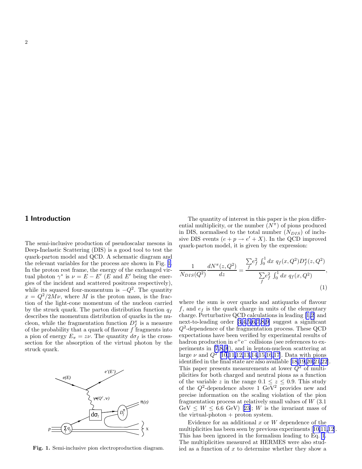<span id="page-2-0"></span>The semi-inclusive production of pseudoscalar mesons in Deep-Inelastic Scattering (DIS) is a good tool to test the quark-parton model and QCD. A schematic diagram and the relevant variables for the process are shown in Fig. 1. In the proton rest frame, the energy of the exchanged virtual photon  $\gamma^*$  is  $\nu = E - E'$  (E and E' being the energies of the incident and scattered positrons respectively), while its squared four-momentum is  $-Q^2$ . The quantity  $x = Q^2/2M\nu$ , where M is the proton mass, is the fraction of the light-cone momentum of the nucleon carried by the struck quark. The parton distribution function  $q_f$ describes the momentum distribution of quarks in the nucleon, while the fragmentation function  $D_f^{\pi}$  is a measure of the probability that a quark of flavour  $f$  fragments into a pion of energy  $E_{\pi} = z\nu$ . The quantity  $d\sigma_f$  is the crosssection for the absorption of the virtual photon by the struck quark.



Fig. 1. Semi-inclusive pion electroproduction diagram.

The quantity of interest in this paper is the pion differential multiplicity, or the number  $(N^{\pi})$  of pions produced in DIS, normalised to the total number  $(N_{DIS})$  of inclusive DIS events  $(e + p \rightarrow e' + X)$ . In the QCD improved quark-parton model, it is given by the expression:

$$
\frac{1}{N_{DIS}(Q^2)} \frac{dN^{\pi}(z, Q^2)}{dz} = \frac{\sum f e_f^2 \int_0^1 dx \ q_f(x, Q^2) D_f^{\pi}(z, Q^2)}{\sum f e_f^2 \int_0^1 dx \ q_f(x, Q^2)},\tag{1}
$$

where the sum is over quarks and antiquarks of flavour f, and  $e_f$  is the quark charge in units of the elementary charge. Perturbative QCD calculations in leading [\[1,2](#page-8-0)] and next-to-leading order [\[3,4](#page-8-0),[5,6,7](#page-8-0),[8](#page-8-0),[9\]](#page-8-0) suggest a significant Q2 -dependence of the fragmentation process. These QCD expectations have been verified by experimental results of hadron production in  $e^+e^-$  collisions (see references to experiments in [\[7](#page-8-0),[8,9\]](#page-8-0)), and in lepton-nucleon scattering at large  $\nu$  and  $Q^2$  [[10](#page-8-0),[11,12,13](#page-8-0),[14,15,16,17](#page-8-0)]. Data with pions identified in the final state are also available [\[18](#page-8-0),[19,20,21](#page-8-0),[22\]](#page-8-0). This paper presents measurements at lower  $Q^2$  of multiplicities for both charged and neutral pions as a function of the variable z in the range  $0.1 \leq z \leq 0.9$ . This study of the  $Q^2$ -dependence above 1 GeV<sup>2</sup> provides new and precise information on the scaling violation of the pion fragmentation process at relatively small values of W (3.1  $GeV \leq W \leq 6.6$  $GeV \leq W \leq 6.6$  $GeV \leq W \leq 6.6$  GeV) [[23\]](#page-8-0); W is the invariant mass of the virtual-photon  $+$  proton system.

Evidence for an additional  $x$  or  $W$  dependence of the multiplicities has been seen by previous experiments[[10,11,12\]](#page-8-0). This has been ignored in the formalism leading to Eq. 1. The multiplicities measured at HERMES were also studied as a function of  $x$  to determine whether they show a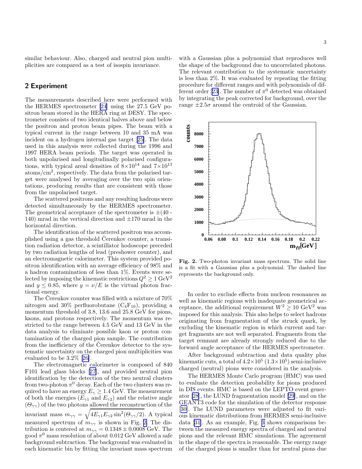similar behaviour. Also, charged and neutral pion multiplicities are compared as a test of isospin invariance.

## 2 Experiment

The measurements described here were performed with the HERMES spectrometer [\[24](#page-8-0)] using the 27.5 GeV positron beam stored in the HERA ring at DESY. The spectrometer consists of two identical halves above and below the positron and proton beam pipes. The beam with a typical current in the range between 10 and 35 mA was incident on a hydrogen internal gas target[[25\]](#page-8-0). The data used in this analysis were collected during the 1996 and 1997 HERA beam periods. The target was operated in both unpolarised and longitudinally polarised configurations, with typical areal densities of  $8\times10^{14}$  and  $7\times10^{13}$ atoms/cm<sup>2</sup> , respectively. The data from the polarised target were analysed by averaging over the two spin orientations, producing results that are consistent with those from the unpolarised target.

The scattered positrons and any resulting hadrons were detected simultaneously by the HERMES spectrometer. The geometrical acceptance of the spectrometer is  $\pm(40 -$ 140) mrad in the vertical direction and  $\pm 170$  mrad in the horizontal direction.

The identification of the scattered positron was accomplished using a gas threshold Cerenkov counter, a transition radiation detector, a scintillator hodoscope preceded by two radiation lengths of lead (preshower counter), and an electromagnetic calorimeter. This system provided positron identification with an average efficiency of 98% and a hadron contamination of less than 1%. Events were selected by imposing the kinematic restrictions  $Q^2 \geq 1 \text{ GeV}^2$ and  $y \le 0.85$ , where  $y = \nu/E$  is the virtual photon fractional energy.

The Cerenkov counter was filled with a mixture of  $70\%$ nitrogen and 30% perfluorobutane  $(C_4F_{10})$ , providing a momentum threshold of 3.8, 13.6 and 25.8 GeV for pions, kaons, and protons respectively. The momentum was restricted to the range between 4.5 GeV and 13 GeV in the data analysis to eliminate possible kaon or proton contamination of the charged pion sample. The contribution from the inefficiency of the Cerenkov detector to the systematic uncertainty on the charged pion multiplicities was evaluated to be 3.2%[[26\]](#page-8-0).

The electromagnetic calorimeter is composed of 840 F101 lead glass blocks[[27](#page-8-0)], and provided neutral pion identification by the detection of the two neutral clusters from two-photon  $\pi^0$  decay. Each of the two clusters was required to have an energy  $E_{\gamma} \geq 1.4$  GeV. The measurement of both the energies  $(E_{\gamma1} \text{ and } E_{\gamma2})$  and the relative angle  $(\Theta_{\gamma\gamma})$  of the two photons allowed the reconstruction of the invariant mass  $m_{\gamma\gamma} = \sqrt{4E_{\gamma1}E_{\gamma2}\sin^2(\Theta_{\gamma\gamma}/2)}$ . A typical measured spectrum of  $m_{\gamma\gamma}$  is shown in Fig. 2. The distribution is centered at  $m_{\gamma\gamma} = 0.1348 \pm 0.0008$  GeV. The good  $\pi^0$  mass resolution of about 0.012 GeV allowed a safe background subtraction. The background was evaluated in each kinematic bin by fitting the invariant mass spectrum

with a Gaussian plus a polynomial that reproduces well the shape of the background due to uncorrelated photons. The relevant contribution to the systematic uncertainty is less than 2%. It was evaluated by repeating the fitting procedure for different ranges and with polynomials of dif-ferentorder [[23\]](#page-8-0). The number of  $\pi^0$  detected was obtained by integrating the peak corrected for background, over the range  $\pm 2.5\sigma$  around the centroid of the Gaussian.



Fig. 2. Two-photon invariant mass spectrum. The solid line is a fit with a Gaussian plus a polynomial. The dashed line represents the background only.

In order to exclude effects from nucleon resonances as well as kinematic regions with inadequate geometrical acceptance, the additional requirement  $W^2 > 10 \text{ GeV}^2$  was imposed for this analysis. This also helps to select hadrons originating from fragmentation of the struck quark, by excluding the kinematic region in which current and target fragments are not well separated. Fragments from the target remnant are already strongly reduced due to the forward angle acceptance of the HERMES spectrometer.

After background subtraction and data quality plus kinematic cuts, a total of  $4.2 \times 10^5$   $(1.3 \times 10^5)$  semi-inclusive charged (neutral) pions were considered in the analysis.

The HERMES Monte Carlo program (HMC) was used to evaluate the detection probability for pions produced in DIS events. HMC is based on the LEPTO event generator [\[28](#page-9-0)], the LUND fragmentation model [\[29](#page-9-0)], and on the GEANT3 code for the simulation of the detector response [[30\]](#page-9-0). The LUND parameters were adjusted to fit various kinematic distributions from HERMES semi-inclusive data [\[31](#page-9-0)]. As an example, Fig. [3](#page-4-0) shows comparisons between the measured energy spectra of charged and neutral pions and the relevant HMC simulations. The agreement in the shape of the spectra is reasonable. The energy range of the charged pions is smaller than for neutral pions due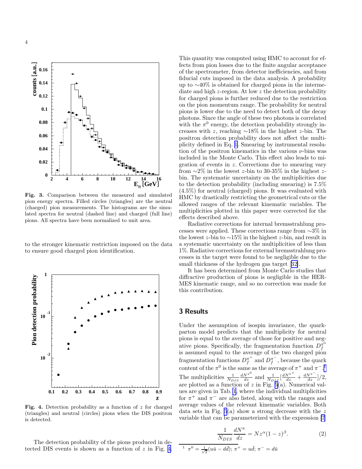<span id="page-4-0"></span>

Fig. 3. Comparison between the measured and simulated pion energy spectra. Filled circles (triangles) are the neutral (charged) pion measurements. The histograms are the simulated spectra for neutral (dashed line) and charged (full line) pions. All spectra have been normalized to unit area.

to the stronger kinematic restriction imposed on the data to ensure good charged pion identification.



Fig. 4. Detection probability as a function of  $z$  for charged (triangles) and neutral (circles) pions when the DIS positron is detected.

The detection probability of the pions produced in detected DIS events is shown as a function of  $z$  in Fig. 4.

This quantity was computed using HMC to account for effects from pion losses due to the finite angular acceptance of the spectrometer, from detector inefficiencies, and from fiducial cuts imposed in the data analysis. A probability up to ∼40% is obtained for charged pions in the intermediate and high z-region. At low z the detection probability for charged pions is further reduced due to the restriction on the pion momentum range. The probability for neutral pions is lower due to the need to detect both of the decay photons. Since the angle of these two photons is correlated with the  $\pi^0$  energy, the detection probability strongly increases with z, reaching ∼18% in the highest z-bin. The positron detection probability does not affect the multiplicity defined in Eq. [1.](#page-2-0) Smearing by instrumental resolution of the positron kinematics in the various  $\nu$ -bins was included in the Monte Carlo. This effect also leads to migration of events in z. Corrections due to smearing vary from  $\sim$ 2% in the lowest z-bin to 30-35% in the highest zbin. The systematic uncertainty on the multiplicities due to the detection probability (including smearing) is 7.5% (4.5%) for neutral (charged) pions. It was evaluated with HMC by drastically restricting the geometrical cuts or the allowed ranges of the relevant kinematic variables. The multiplicities plotted in this paper were corrected for the effects described above.

Radiative corrections for internal bremsstrahlung processes were applied. These corrections range from ∼3% in the lowest z-bin to  $\sim$ 15% in the highest z-bin, and result in a systematic uncertainty on the multiplicities of less than 1%. Radiative corrections for external bremsstrahlung processes in the target were found to be negligible due to the small thickness of the hydrogen gas target[[32\]](#page-9-0).

It has been determined from Monte Carlo studies that diffractive production of pions is negligible in the HER-MES kinematic range, and so no correction was made for this contribution.

### 3 Results

Under the assumption of isospin invariance, the quarkparton model predicts that the multiplicity for neutral pions is equal to the average of those for positive and negative pions. Specifically, the fragmentation function  $D_f^{\pi^0}$ f is assumed equal to the average of the two charged pion fragmentation functions  $D_f^{\pi^+}$  $\int_{f}^{\pi^+}$  and  $D_f^{\pi^-}$  $\frac{\pi}{f}$ , because the quark content of the  $\pi^0$  is the same as the average of  $\pi^+$  and  $\pi^{-1}$ . The multiplicities  $\frac{1}{N_{DIS}} \frac{dN^{\pi^0}}{dz}$  and  $\frac{1}{N_{DIS}} \left[ \frac{dN^{\pi^+}}{dz} + \frac{dN^{\pi^-}}{dz} \right] / 2$ , are plotted as a function of z in Fig.  $5(a)$ . Numerical values are given in Tab. [1](#page-10-0), where the individual multiplicities for  $\pi^+$  and  $\pi^-$  are also listed, along with the ranges and average values of the relevant kinematic variables. Both data sets in Fig.  $5(a)$  show a strong decrease with the z variable that can be parameterized with the expression [\[7](#page-8-0)]

$$
\frac{1}{N_{DIS}} \frac{dN^{\pi}}{dz} = N z^{\alpha} (1 - z)^{\beta}.
$$
 (2)

$$
\sqrt[1]{\pi^0} = \frac{1}{\sqrt{2}} (u\bar{u} - d\bar{d}); \pi^+ = u\bar{d}; \pi^- = d\bar{u}
$$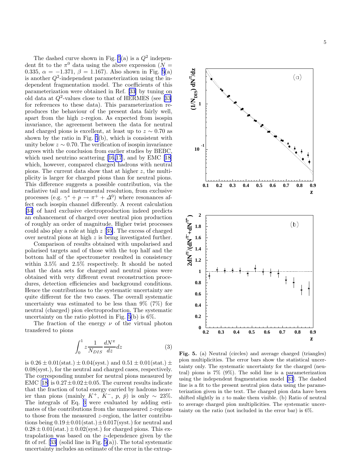<span id="page-5-0"></span>The dashed curve shown in Fig.  $5(a)$  is a  $Q^2$  independent fit to the  $\pi^0$  data using the above expression  $(N =$ 0.335,  $\alpha = -1.371$ ,  $\beta = 1.167$ ). Also shown in Fig. 5(a) is another  $Q^2$ -independent parameterization using the independent fragmentation model. The coefficients of this parameterization were obtained in Ref. [\[33](#page-9-0)] by tuning on olddata at  $Q^2$ -values close to that of HERMES (see [[33\]](#page-9-0) for references to these data). This parameterization reproduces the behaviour of the present data fairly well, apart from the high z-region. As expected from isospin invariance, the agreement between the data for neutral and charged pions is excellent, at least up to  $z \sim 0.70$  as shown by the ratio in Fig. 5(b), which is consistent with unity below  $z \sim 0.70$ . The verification of isospin invariance agrees with the conclusion from earlier studies by BEBC, which used neutrino scattering [\[16,17](#page-8-0)], and by EMC[[18\]](#page-8-0) which, however, compared charged hadrons with neutral pions. The current data show that at higher z, the multiplicity is larger for charged pions than for neutral pions. This difference suggests a possible contribution, via the radiative tail and instrumental resolution, from exclusive processes (e.g.  $\gamma^* + p \to \pi^+ + \Delta^0$ ) where resonances affect each isospin channel differently. A recent calculation [[34\]](#page-9-0) of hard exclusive electroproduction indeed predicts an enhancement of charged over neutral pion production of roughly an order of magnitude. Higher twist processes could also play a role at high z [[35\]](#page-9-0). The excess of charged over neutral pions at high z is being investigated further.

Comparison of results obtained with unpolarised and polarised targets and of those with the top half and the bottom half of the spectrometer resulted in consistency within 3.5% and 2.5% respectively. It should be noted that the data sets for charged and neutral pions were obtained with very different event reconstruction procedures, detection efficiencies and background conditions. Hence the contributions to the systematic uncertainty are quite different for the two cases. The overall systematic uncertainty was estimated to be less than 9% (7%) for neutral (charged) pion electroproduction. The systematic uncertainty on the ratio plotted in Fig.  $5(b)$  is  $6\%$ .

The fraction of the energy  $\nu$  of the virtual photon transfered to pions

$$
\int_0^1 z \frac{1}{N_{DIS}} \frac{dN^{\pi}}{dz} dz
$$
 (3)

is  $0.26 \pm 0.01$ (stat.)  $\pm 0.04$ (syst.) and  $0.51 \pm 0.01$ (stat.)  $\pm$ 0.08(syst.), for the neutral and charged cases, respectively. The corresponding number for neutral pions measured by EMC[[18\]](#page-8-0) is  $0.27 \pm 0.02 \pm 0.05$ . The current results indicate that the fraction of total energy carried by hadrons heavier than pions (mainly  $K^+$ ,  $K^-$ ,  $p$ ,  $\bar{p}$ ) is only ~ 23%. The integrals of Eq. 3 were evaluated by adding estimates of the contributions from the unmeasured  $z$ -regions to those from the measured z-region, the latter contributions being  $0.19 \pm 0.01$  (stat.)  $\pm 0.017$  (syst.) for neutral and  $0.28 \pm 0.01$ (stat.)  $\pm 0.02$ (syst.) for charged pions. This extrapolation was based on the z-dependence given by the fitof ref. [[33\]](#page-9-0) (solid line in Fig.  $5(a)$ ). The total systematic uncertainty includes an estimate of the error in the extrap-



Fig. 5. (a) Neutral (circles) and average charged (triangles) pion multiplicities. The error bars show the statistical uncertainty only. The systematic uncertainty for the charged (neutral) pions is 7% (9%). The solid line is a parameterization using the independent fragmentation model [\[33](#page-9-0)]. The dashed line is a fit to the present neutral pion data using the parameterization given in the text. The charged pion data have been shifted slightly in z to make them visible. (b) Ratio of neutral to average charged pion multiplicities. The systematic uncertainty on the ratio (not included in the error bar) is 6%.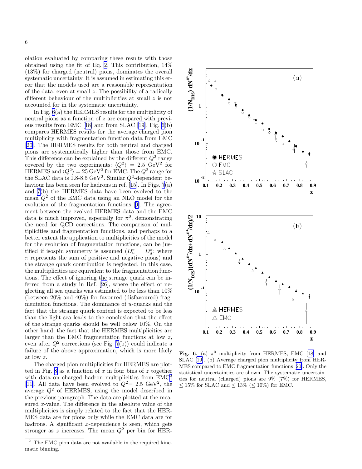olation evaluated by comparing these results with those obtained using the fit of Eq. [2](#page-4-0). This contribution, 14% (13%) for charged (neutral) pions, dominates the overall systematic uncertainty. It is assumed in estimating this error that the models used are a reasonable representation of the data, even at small  $z$ . The possibility of a radically different behaviour of the multiplicities at small z is not accounted for in the systematic uncertainty.

In Fig. 6(a) the HERMES results for the multiplicity of neutral pions as a function of z are compared with previous results from EMC[[18\]](#page-8-0) and from SLAC [\[19](#page-8-0)]. Fig. 6(b) compares HERMES results for the average charged pion multiplicity with fragmentation function data from EMC [[20\]](#page-8-0). The HERMES results for both neutral and charged pions are systematically higher than those from EMC. This difference can be explained by the different  $Q^2$  range covered by the two experiments:  $\langle Q^2 \rangle = 2.5 \text{ GeV}^2$  for HERMES and  $\langle Q^2 \rangle = 25 \,\mathrm{GeV^2}$  for EMC. The  $Q^2$  range for the SLAC data is  $1.8-8.5 \text{ GeV}^2$ . Similar  $Q^2$ -dependent be-haviour has been seen for hadrons in ref. [\[15](#page-8-0)]. In Figs.  $7(a)$ and [7](#page-7-0)(b) the HERMES data have been evolved to the mean  $Q^2$  of the EMC data using an NLO model for the evolution of the fragmentation functions [\[9](#page-8-0)]. The agreement between the evolved HERMES data and the EMC data is much improved, especially for  $\pi^0$ , demonstrating the need for QCD corrections. The comparison of multiplicities and fragmentation functions, and perhaps to a better extent the application to multiplicities of the model for the evolution of fragmentation functions, can be justified if isospin symmetry is assumed  $(D_u^{\pi} = D_d^{\pi};$  where  $\pi$  represents the sum of positive and negative pions) and the strange quark contribution is neglected. In this case, the multiplicities are equivalent to the fragmentation functions. The effect of ignoring the strange quark can be inferred from a study in Ref. [\[26\]](#page-8-0), where the effect of neglecting all sea quarks was estimated to be less than 10% (between 20% and 40%) for favoured (disfavoured) fragmentation functions. The dominance of  $u$ -quarks and the fact that the strange quark content is expected to be less than the light sea leads to the conclusion that the effect of the strange quarks should be well below 10%. On the other hand, the fact that the HERMES multiplicities are larger than the EMC fragmentation functions at low z, even after  $Q^2$  corrections (see Fig. [7](#page-7-0)(b)) could indicate a failure of the above approximation, which is more likely at low z.

The charged pion multiplicities for HERMES are plot-ted in Fig. [8](#page-7-0) as a function of  $x$  in four bins of  $z$  together with data on charged hadron multiplicities from  $\text{EMC}^2$ [[11\]](#page-8-0). All data have been evolved to  $Q^2 = 2.5 \text{ GeV}^2$ , the average  $Q^2$  of HERMES, using the model described in the previous paragraph. The data are plotted at the measured x-value. The difference in the absolute value of the multiplicities is simply related to the fact that the HER-MES data are for pions only while the EMC data are for hadrons. A significant  $x$ -dependence is seen, which gets stronger as z increases. The mean  $Q^2$  per bin for HER-



Fig.6. (a)  $\pi^0$  multiplicity from HERMES, EMC [[18\]](#page-8-0) and SLAC[[19](#page-8-0)]. (b) Average charged pion multiplicity from HER-MES compared to EMC fragmentation functions[[20\]](#page-8-0). Only the statistical uncertainties are shown. The systematic uncertainties for neutral (charged) pions are 9% (7%) for HERMES, ≤ 15% for SLAC and ≤ 13% (≤ 10%) for EMC.

<sup>2</sup> The EMC pion data are not available in the required kinematic binning.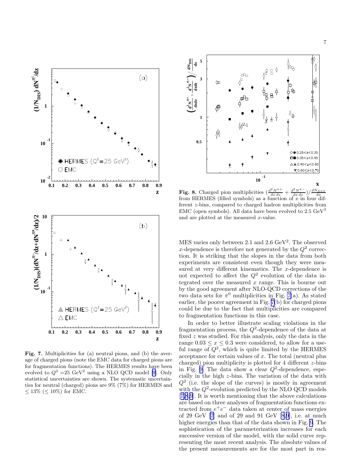

7

<span id="page-7-0"></span>

Fig. 7. Multiplicities for (a) neutral pions, and (b) the average of charged pions (note the EMC data for charged pions are for fragmentation functions). The HERMES results have been evolved to  $Q^2 = 25 \text{ GeV}^2$  using a NLO QCD model [\[9](#page-8-0)]. Only statistical uncertainties are shown. The systematic uncertainties for neutral (charged) pions are 9% (7%) for HERMES and  $\leq 13\%$  ( $\leq 10\%$ ) for EMC.



**Fig. 8.** Charged pion multiplicities  $\left(\frac{d^2 N^{\pi+}}{dx \, dz} + \frac{d^2 N^{\pi-}}{dx \, dx}\right) / \frac{dN_{DIS}}{dx}$  from HERMES (filled symbols) as a function of x in four different z-bins, compared to charged hadron multiplicities from EMC (open symbols). All data have been evolved to  $2.5 \text{ GeV}^2$ and are plotted at the measured x-value.

 $MES$  varies only between 2.1 and 2.6  $GeV<sup>2</sup>$ . The observed x-dependence is therefore not generated by the  $Q^2$  correction. It is striking that the slopes in the data from both experiments are consistent even though they were measured at very different kinematics. The x-dependence is not expected to affect the  $Q^2$  evolution of the data integrated over the measured  $x$  range. This is bourne out by the good agreement after NLO-QCD corrections of the two data sets for  $\pi^0$  multiplicities in Fig. 7(a). As stated earlier, the poorer agreement in Fig. 7(b) for charged pions could be due to the fact that multiplicities are compared to fragmentation functions in this case.

In order to better illustrate scaling violations in the fragmentation process, the  $Q^2$ -dependence of the data at fixed z was studied. For this analysis, only the data in the range  $0.03 \leq x \leq 0.3$  were considered, to allow for a useful range of  $Q^2$ , which is quite limited by the HERMES acceptance for certain values of  $x$ . The total (neutral plus charged) pion multiplicity is plotted for 4 different z-bins in Fig. [9.](#page-8-0) The data show a clear  $Q^2$ -dependence, especially in the high z-bins. The variation of the data with  $Q^2$  (i.e. the slope of the curves) is mostly in agreement with the  $Q^2$ -evolution predicted by the NLO QCD models [[7,8,9](#page-8-0)]. It is worth mentioning that the above calculations are based on three analyses of fragmentation functions extracted from  $e^+e^-$  data taken at center of mass energies of 29 GeV [\[7](#page-8-0)] and of 29 and 91 GeV [\[8,9](#page-8-0)], i.e. at much higher energies than that of the data shown in Fig. [9](#page-8-0). The sophistication of the parameterization increases for each successive version of the model, with the solid curve representing the most recent analysis. The absolute values of the present measurements are for the most part in rea-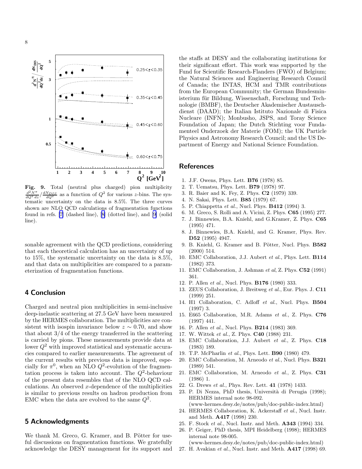<span id="page-8-0"></span>

Fig. 9. Total (neutral plus charged) pion multiplicity  $\frac{d^2N^{\pi}}{dQ^2dz}/\frac{dN_{DIS}}{dQ^2}$  as a function of  $Q^2$  for various z-bins. The systematic uncertainty on the data is 8.5%. The three curves shown are NLO QCD calculations of fragmentation functions found in refs. [7] (dashed line), [8] (dotted line), and [9] (solid line).

sonable agreement with the QCD predictions, considering that each theoretical calculation has an uncertainty of up to 15%, the systematic uncertainty on the data is 8.5%, and that data on multiplicities are compared to a parameterization of fragmentation functions.

# 4 Conclusion

Charged and neutral pion multiplicities in semi-inclusive deep-inelastic scattering at 27.5 GeV have been measured by the HERMES collaboration. The multiplicities are consistent with isospin invariance below  $z \sim 0.70$ , and show that about 3/4 of the energy transferred in the scattering is carried by pions. These measurements provide data at lower  $Q^2$  with improved statistical and systematic accuracies compared to earlier measurements. The agreement of the current results with previous data is improved, especially for  $\pi^0$ , when an NLO  $Q^2$ -evolution of the fragmentation process is taken into account. The  $Q^2$ -behaviour of the present data resembles that of the NLO QCD calculations. An observed  $x$ -dependence of the multiplicities is similar to previous results on hadron production from EMC when the data are evolved to the same  $Q^2$ .

## 5 Acknowledgments

We thank M. Greco, G. Kramer, and B. Pötter for useful discussions on fragmentation functions. We gratefully acknowledge the DESY management for its support and

the staffs at DESY and the collaborating institutions for their significant effort. This work was supported by the Fund for Scientific Research-Flanders (FWO) of Belgium; the Natural Sciences and Engineering Research Council of Canada; the INTAS, HCM and TMR contributions from the European Community; the German Bundesministerium für Bildung, Wissenschaft, Forschung und Technologie (BMBF), the Deutscher Akademischer Austauschdienst (DAAD); the Italian Istituto Nazionale di Fisica Nucleare (INFN); Monbusho, JSPS, and Toray Science Foundation of Japan; the Dutch Stichting voor Fundamenteel Onderzoek der Materie (FOM); the UK Particle Physics and Astronomy Research Council; and the US Department of Energy and National Science Foundation.

### References

- 1. J.F. Owens, Phys. Lett. B76 (1978) 85.
- 2. T. Uematsu, Phys. Lett. B79 (1978) 97.
- 3. R. Baier and K. Fey, Z. Phys. C2 (1979) 339.
- 4. N. Sakai, Phys. Lett. B85 (1979) 67.
- 5. P. Chiappetta et al., Nucl. Phys. B412 (1994) 3.
- 6. M. Greco, S. Rolli and A. Vicini, Z. Phys. C65 (1995) 277.
- 7. J. Binnewies, B.A. Kniehl, and G.Kramer, Z. Phys. C65 (1995) 471.
- 8. J. Binnewies, B.A. Kniehl, and G. Kramer, Phys. Rev. D52 (1995) 4947.
- 9. B. Kniehl, G. Kramer and B. Pötter, Nucl. Phys. B582 (2000) 514.
- 10. EMC Collaboration, J.J. Aubert et al., Phys. Lett. B114 (1982) 373.
- 11. EMC Collaboration, J. Ashman et al, Z. Phys. C52 (1991) 361.
- 12. P. Allen et al., Nucl. Phys. B176 (1980) 333.
- 13. ZEUS Collaboration, J. Breitweg et al., Eur. Phys. J. C11 (1999) 251.
- 14. H1 Collaboration, C. Adloff et al., Nucl. Phys. B504 (1997) 3.
- 15. E665 Collaboration, M.R. Adams et al., Z. Phys. C76 (1997) 441.
- 16. P. Allen et al., Nucl. Phys. B214 (1983) 369.
- 17. W. Wittek et al., Z. Phys. C40 (1988) 231.
- 18. EMC Collaboration, J.J. Aubert et al., Z. Phys. C18 (1983) 189.
- 19. T.P. McPharlin et al., Phys. Lett. B90 (1980) 479.
- 20. EMC Collaboration, M. Arneodo et al., Nucl. Phys. B321 (1989) 541.
- 21. EMC Collaboration, M. Arneodo et al., Z. Phys. C31 (1986) 1.
- 22. G. Drews et al., Phys. Rev. Lett. 41 (1978) 1433.
- 23. P. Di Nezza, PhD thesis, Universit`a di Perugia (1998); HERMES internal note 98-092.
- (www-hermes.desy.de/notes/pub/doc-public-index.html) 24. HERMES Collaboration, K. Ackerstaff et al., Nucl. Instr.
- and Meth. A417 (1998) 230.
- 25. F. Stock et al., Nucl. Instr. and Meth. A343 (1994) 334.
- 26. P. Geiger, PhD thesis, MPI Heidelberg (1998); HERMES internal note 98-005.

(www-hermes.desy.de/notes/pub/doc-public-index.html)

27. H. Avakian et al., Nucl. Instr. and Meth. A417 (1998) 69.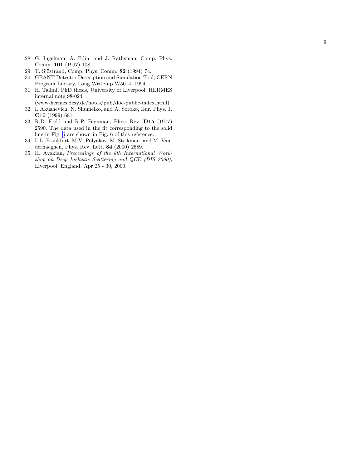- <span id="page-9-0"></span>28. G. Ingelman, A. Edin, and J. Rathsman, Comp. Phys. Comm. 101 (1997) 108.
- 29. T. Sjöstrand, Comp. Phys. Comm. 82 (1994) 74.
- 30. GEANT Detector Description and Simulation Tool, CERN Program Library, Long Write-up W5014, 1994.
- 31. H. Tallini, PhD thesis, University of Liverpool; HERMES internal note 98-024.
	- (www-hermes.desy.de/notes/pub/doc-public-index.html )
- 32. I. Akushevich, N. Shumeiko, and A. Soroko, Eur. Phys. J. C10 (1999) 681.
- 33. R.D. Field and R.P. Feynman, Phys. Rev. D15 (1977) 2590. The data used in the fit corresponding to the solid line in Fig. [5](#page-5-0) are shown in Fig. 6 of this reference.
- 34. L.L. Frankfurt, M.V. Polyakov, M. Strikman, and M. Vanderhaeghen, Phys. Rev. Lett. 84 (2000) 2589.
- 35. H. Avakian, Proceedings of the 8th International Workshop on Deep Inelastic Scattering and QCD (DIS 2000), Liverpool, England, Apr 25 - 30, 2000.